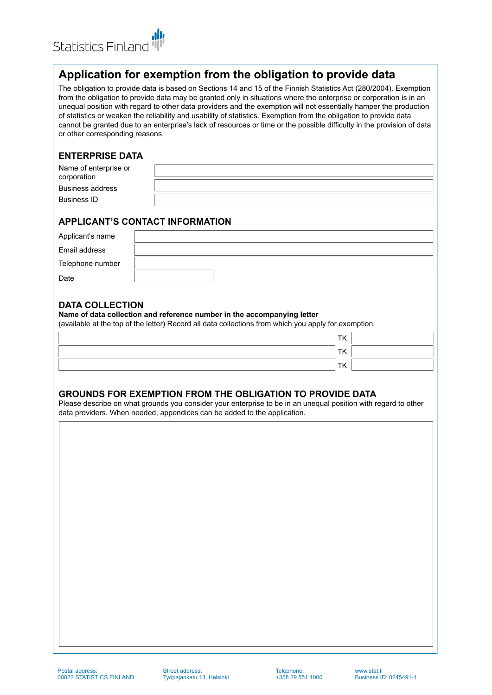

# **Application for exemption from the obligation to provide data**

The obligation to provide data is based on Sections 14 and 15 of the Finnish Statistics Act (280/2004). Exemption from the obligation to provide data may be granted only in situations where the enterprise or corporation is in an unequal position with regard to other data providers and the exemption will not essentially hamper the production of statistics or weaken the reliability and usability of statistics. Exemption from the obligation to provide data cannot be granted due to an enterprise's lack of resources or time or the possible difficulty in the provision of data or other corresponding reasons.

### **ENTERPRISE DATA**

| Name of enterprise or |  |
|-----------------------|--|
| corporation           |  |
| Business address      |  |
| <b>Business ID</b>    |  |
|                       |  |

## **APPLICANT'S CONTACT INFORMATION**

| Applicant's name |  |
|------------------|--|
| Email address    |  |
| Telephone number |  |
| Date             |  |

### **DATA COLLECTION**

#### **Name of data collection and reference number in the accompanying letter**

(available at the top of the letter) Record all data collections from which you apply for exemption.

| <b>TK</b> |  |
|-----------|--|
| TK        |  |
| TK        |  |

### **GROUNDS FOR EXEMPTION FROM THE OBLIGATION TO PROVIDE DATA**

Please describe on what grounds you consider your enterprise to be in an unequal position with regard to other data providers. When needed, appendices can be added to the application.

Street address: Työpajankatu 13, Helsinki Telephone: +358 29 551 1000

<www.stat.fi> Business ID: 0245491-1